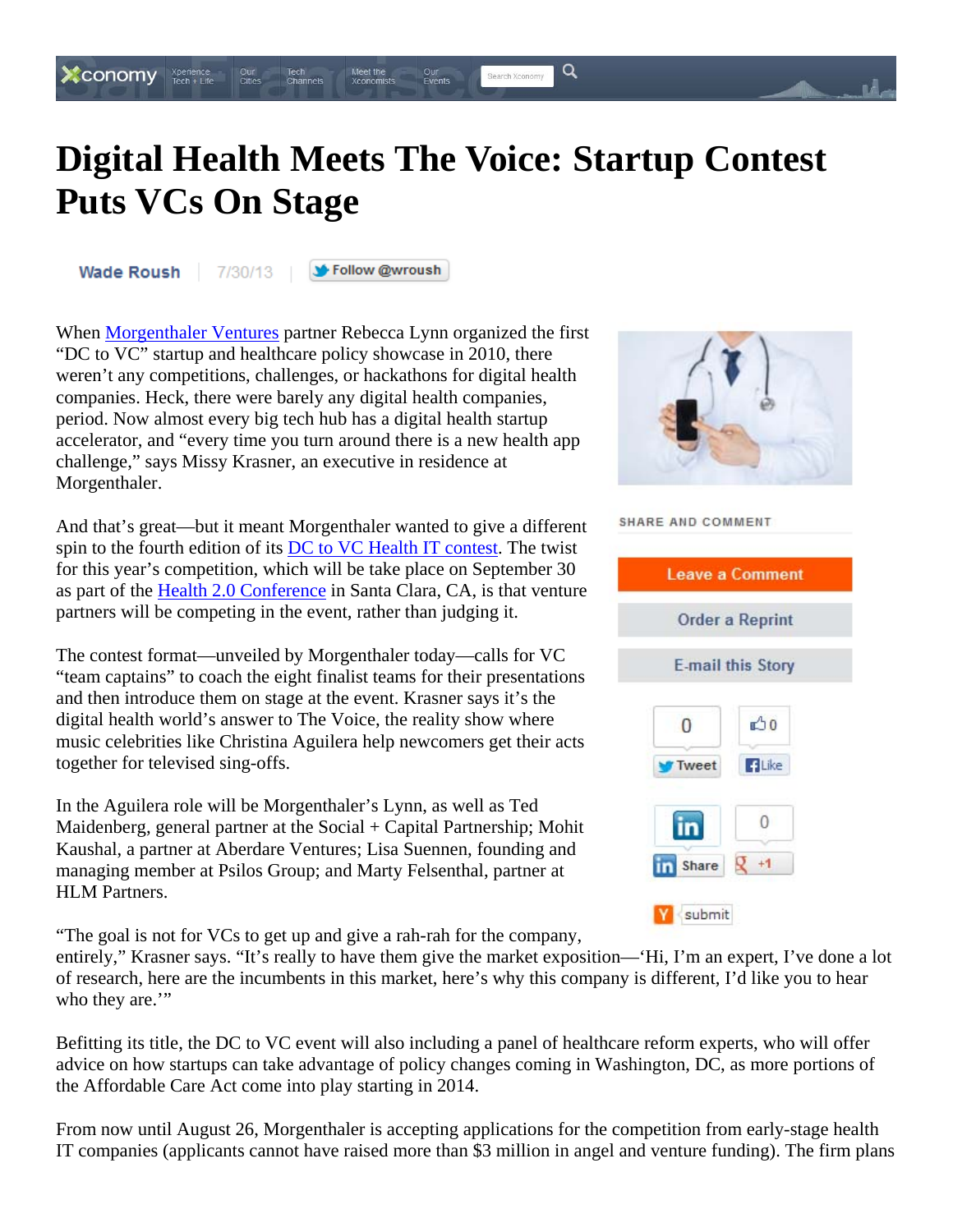## **Digital Health Meets The Voice: Startup Contest Puts VCs On Stage**

Our<br>Events

Q

Search Xconomy

Wade Roush

 $\bullet$  CONOMY  $\Box$  Tech + Life

7/30/13

String Follow @wroush

Meet the<br>Xconomists

Tech<br>Channels

When **Morgenthaler Ventures** partner Rebecca Lynn organized the first "DC to VC" startup and healthcare policy showcase in 2010, there weren't any competitions, challenges, or hackathons for digital health companies. Heck, there were barely any digital health companies, period. Now almost every big tech hub has a digital health startup accelerator, and "every time you turn around there is a new health app challenge," says Missy Krasner, an executive in residence at Morgenthaler.

And that's great—but it meant Morgenthaler wanted to give a different spin to the fourth edition of its DC to VC Health IT contest. The twist for this year's competition, which will be take place on September 30 as part of the Health 2.0 Conference in Santa Clara, CA, is that venture partners will be competing in the event, rather than judging it.

The contest format—unveiled by Morgenthaler today—calls for VC "team captains" to coach the eight finalist teams for their presentations and then introduce them on stage at the event. Krasner says it's the digital health world's answer to The Voice, the reality show where music celebrities like Christina Aguilera help newcomers get their acts together for televised sing-offs.

In the Aguilera role will be Morgenthaler's Lynn, as well as Ted Maidenberg, general partner at the Social  $+$  Capital Partnership; Mohit Kaushal, a partner at Aberdare Ventures; Lisa Suennen, founding and managing member at Psilos Group; and Marty Felsenthal, partner at HLM Partners.

"The goal is not for VCs to get up and give a rah-rah for the company,

entirely," Krasner says. "It's really to have them give the market exposition—'Hi, I'm an expert, I've done a lot of research, here are the incumbents in this market, here's why this company is different, I'd like you to hear who they are."

Befitting its title, the DC to VC event will also including a panel of healthcare reform experts, who will offer advice on how startups can take advantage of policy changes coming in Washington, DC, as more portions of the Affordable Care Act come into play starting in 2014.

From now until August 26, Morgenthaler is accepting applications for the competition from early-stage health IT companies (applicants cannot have raised more than \$3 million in angel and venture funding). The firm plans



## SHARE AND COMMENT